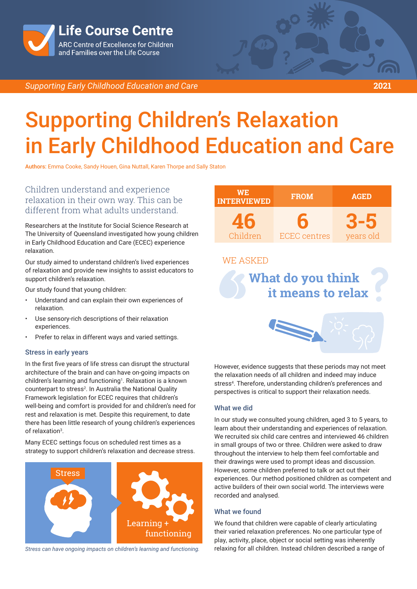

*Supporting Early Childhood Education and Care* **2021**

# Supporting Children's Relaxation in Early Childhood Education and Care

Authors: Emma Cooke, Sandy Houen, Gina Nuttall, Karen Thorpe and Sally Staton

Children understand and experience relaxation in their own way. This can be different from what adults understand.

Researchers at the Institute for Social Science Research at The University of Queensland investigated how young children in Early Childhood Education and Care (ECEC) experience relaxation.

Our study aimed to understand children's lived experiences of relaxation and provide new insights to assist educators to support children's relaxation.

Our study found that young children:

- Understand and can explain their own experiences of relaxation.
- Use sensory-rich descriptions of their relaxation experiences.
- Prefer to relax in different ways and varied settings.

### Stress in early years

In the first five years of life stress can disrupt the structural architecture of the brain and can have on-going impacts on children's learning and functioning<sup>1</sup>. Relaxation is a known counterpart to stress<sup>2</sup>. In Australia the National Quality Framework legislation for ECEC requires that children's well-being and comfort is provided for and children's need for rest and relaxation is met. Despite this requirement, to date there has been little research of young children's experiences of relaxation<sup>3</sup>.

Many ECEC settings focus on scheduled rest times as a strategy to support children's relaxation and decrease stress.



*Stress can have ongoing impacts on children's learning and functioning.*

| <b>WE</b><br><b>INTERVIEWED</b>                                  | <b>FROM</b>              | <b>AGED</b>      |
|------------------------------------------------------------------|--------------------------|------------------|
| 46<br>Children                                                   | 6<br><b>ECEC</b> centres | 3-5<br>years old |
| <b>WE ASKED</b><br><b>What do you think</b><br>it means to relax |                          |                  |
| N                                                                |                          |                  |

However, evidence suggests that these periods may not meet the relaxation needs of all children and indeed may induce stress<sup>4</sup>. Therefore, understanding children's preferences and perspectives is critical to support their relaxation needs.

### What we did

In our study we consulted young children, aged 3 to 5 years, to learn about their understanding and experiences of relaxation. We recruited six child care centres and interviewed 46 children in small groups of two or three. Children were asked to draw throughout the interview to help them feel comfortable and their drawings were used to prompt ideas and discussion. However, some children preferred to talk or act out their experiences. Our method positioned children as competent and active builders of their own social world. The interviews were recorded and analysed.

# What we found

We found that children were capable of clearly articulating their varied relaxation preferences. No one particular type of play, activity, place, object or social setting was inherently relaxing for all children. Instead children described a range of